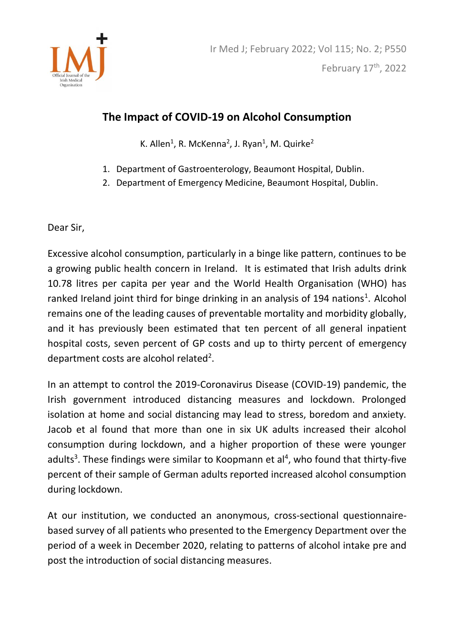

## **The Impact of COVID-19 on Alcohol Consumption**

K. Allen<sup>1</sup>, R. McKenna<sup>2</sup>, J. Ryan<sup>1</sup>, M. Quirke<sup>2</sup>

- 1. Department of Gastroenterology, Beaumont Hospital, Dublin.
- 2. Department of Emergency Medicine, Beaumont Hospital, Dublin.

Dear Sir,

Excessive alcohol consumption, particularly in a binge like pattern, continues to be a growing public health concern in Ireland. It is estimated that Irish adults drink 10.78 litres per capita per year and the World Health Organisation (WHO) has ranked Ireland joint third for binge drinking in an analysis of 194 nations<sup>1</sup>. Alcohol remains one of the leading causes of preventable mortality and morbidity globally, and it has previously been estimated that ten percent of all general inpatient hospital costs, seven percent of GP costs and up to thirty percent of emergency department costs are alcohol related<sup>2</sup>.

In an attempt to control the 2019-Coronavirus Disease (COVID-19) pandemic, the Irish government introduced distancing measures and lockdown. Prolonged isolation at home and social distancing may lead to stress, boredom and anxiety. Jacob et al found that more than one in six UK adults increased their alcohol consumption during lockdown, and a higher proportion of these were younger adults<sup>3</sup>. These findings were similar to Koopmann et al<sup>4</sup>, who found that thirty-five percent of their sample of German adults reported increased alcohol consumption during lockdown.

At our institution, we conducted an anonymous, cross-sectional questionnairebased survey of all patients who presented to the Emergency Department over the period of a week in December 2020, relating to patterns of alcohol intake pre and post the introduction of social distancing measures.